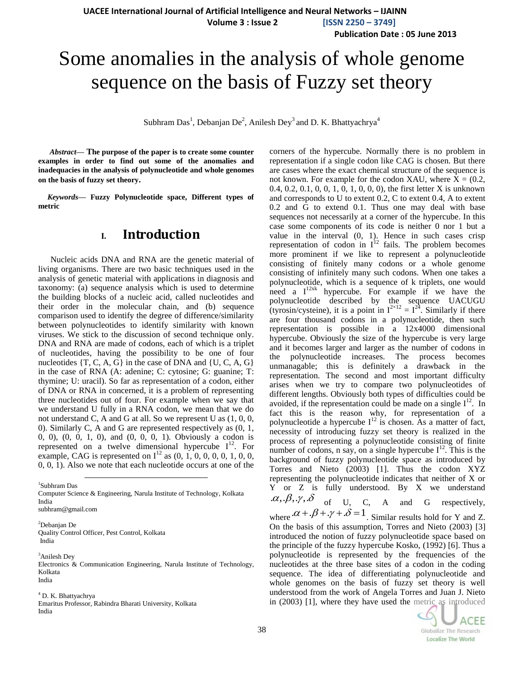**Publication Date : 05 June 2013**

# Some anomalies in the analysis of whole genome sequence on the basis of Fuzzy set theory

Subhram Das<sup>1</sup>, Debanjan De<sup>2</sup>, Anilesh Dey<sup>3</sup> and D. K. Bhattyachrya<sup>4</sup>

*Abstract***— The purpose of the paper is to create some counter examples in order to find out some of the anomalies and inadequacies in the analysis of polynucleotide and whole genomes on the basis of fuzzy set theory.**

*Keywords***— Fuzzy Polynucleotide space, Different types of metric**

## **I. Introduction**

Nucleic acids DNA and RNA are the genetic material of living organisms. There are two basic techniques used in the analysis of genetic material with applications in diagnosis and taxonomy: (a) sequence analysis which is used to determine the building blocks of a nucleic acid, called nucleotides and their order in the molecular chain, and (b) sequence comparison used to identify the degree of difference/similarity between polynucleotides to identify similarity with known viruses. We stick to the discussion of second technique only. DNA and RNA are made of codons, each of which is a triplet of nucleotides, having the possibility to be one of four nucleotides  $\{T, C, A, G\}$  in the case of DNA and  $\{U, C, A, G\}$ in the case of RNA (A: adenine; C: cytosine; G: guanine; T: thymine; U: uracil). So far as representation of a codon, either of DNA or RNA in concerned, it is a problem of representing three nucleotides out of four. For example when we say that we understand U fully in a RNA codon, we mean that we do not understand C, A and G at all. So we represent U as (1, 0, 0, 0). Similarly C, A and G are represented respectively as (0, 1, 0, 0), (0, 0, 1, 0), and (0, 0, 0, 1). Obviously a codon is represented on a twelve dimensional hypercube  $I^{12}$ . For example, CAG is represented on  $I^{12}$  as  $(0, 1, 0, 0, 0, 0, 1, 0, 0, 0, 1)$ 0, 0, 1). Also we note that each nucleotide occurs at one of the

1 Subhram Das

Computer Science & Engineering, Narula Institute of Technology, Kolkata India subhram@gmail.com

<sup>2</sup>Debanjan De Quality Control Officer, Pest Control, Kolkata India

l

<sup>3</sup>Anilesh Dey

Electronics & Communication Engineering, Narula Institute of Technology, Kolkata India

<sup>4</sup> D. K. Bhattyachrya

Emaritus Professor, Rabindra Bharati University, Kolkata India

corners of the hypercube. Normally there is no problem in representation if a single codon like CAG is chosen. But there are cases where the exact chemical structure of the sequence is not known. For example for the codon XAU, where  $X = (0.2, ...)$ 0.4, 0.2, 0.1, 0, 0, 1, 0, 1, 0, 0, 0), the first letter X is unknown and corresponds to U to extent 0.2, C to extent 0.4, A to extent 0.2 and G to extend 0.1. Thus one may deal with base sequences not necessarily at a corner of the hypercube. In this case some components of its code is neither 0 nor 1 but a value in the interval (0, 1). Hence in such cases crisp representation of codon in  $I^{12}$  fails. The problem becomes more prominent if we like to represent a polynucleotide consisting of finitely many codons or a whole genome consisting of infinitely many such codons. When one takes a polynucleotide, which is a sequence of k triplets, one would need a  $I^{12xk}$  hypercube. For example if we have the polynucleotide described by the sequence UACUGU (tyrosin/cysteine), it is a point in  $I^{2\times12} = I^{24}$ . Similarly if there are four thousand codons in a polynucleotide, then such representation is possible in a 12x4000 dimensional hypercube. Obviously the size of the hypercube is very large and it becomes larger and larger as the number of codons in the polynucleotide increases. The process becomes unmanagable; this is definitely a drawback in the representation. The second and most important difficulty arises when we try to compare two polynucleotides of different lengths. Obviously both types of difficulties could be avoided, if the representation could be made on a single  $I^{12}$ . In fact this is the reason why, for representation of a polynucleotide a hypercube  $I^{12}$  is chosen. As a matter of fact, necessity of introducing fuzzy set theory is realized in the process of representing a polynucleotide consisting of finite number of codons, n say, on a single hypercube  $I<sup>12</sup>$ . This is the background of fuzzy polynucleotide space as introduced by Torres and Nieto (2003) [1]. Thus the codon XYZ representing the polynucleotide indicates that neither of X or Y or Z is fully understood. By X we understand  $\alpha, \beta, \gamma, \delta$  of U, C, A and G respectively, where  $\alpha + \beta + \gamma + \delta = 1$ . Similar results hold for Y and Z. On the basis of this assumption, Torres and Nieto (2003) [3] introduced the notion of fuzzy polynucleotide space based on the principle of the fuzzy hypercube Kosko, (1992) [6]. Thus a polynucleotide is represented by the frequencies of the nucleotides at the three base sites of a codon in the coding sequence. The idea of differentiating polynucleotide and whole genomes on the basis of fuzzy set theory is well understood from the work of Angela Torres and Juan J. Nieto

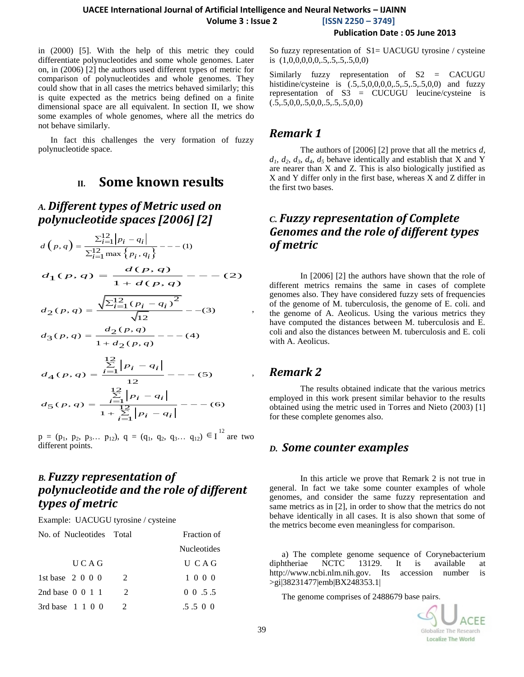in (2000) [5]. With the help of this metric they could differentiate polynucleotides and some whole genomes. Later on, in (2006) [2] the authors used different types of metric for comparison of polynucleotides and whole genomes. They could show that in all cases the metrics behaved similarly; this is quite expected as the metrics being defined on a finite dimensional space are all equivalent. In section II, we show some examples of whole genomes, where all the metrics do not behave similarly.

In fact this challenges the very formation of fuzzy polynucleotide space.

## **II. Some known results**

# *A. Different types of Metric used on polynucleotide spaces [2006] [2]*

$$
d(p,q) = \frac{\sum_{i=1}^{12} |p_i - q_i|}{\sum_{i=1}^{12} \max\{p_i, q_i\}} - (-1)
$$

$$
d_1(p,q) = \frac{d(p,q)}{1 + d(p,q)} - \dotsb \tag{2}
$$

$$
d_2(p,q) = \frac{\sqrt{\sum_{i=1}^{12} (p_i - q_i)^2}}{\sqrt{12}} - (3)
$$
  

$$
d_3(p,q) = \frac{d_2(p,q)}{\sqrt{12}} - (-4)
$$

$$
d_3(p,q) = \frac{a_2(p,q)}{1 + d_2(p,q)} - \dots (4)
$$

$$
d_{4}(p,q) = \frac{\sum_{i=1}^{12} |p_{i} - q_{i}|}{12} - \cdots - (5)
$$
  

$$
d_{5}(p,q) = \frac{\sum_{i=1}^{12} |p_{i} - q_{i}|}{1 + \sum_{i=1}^{12} |p_{i} - q_{i}|} - \cdots - (6)
$$

 $p = (p_1, p_2, p_3... p_{12}), q = (q_1, q_2, q_3... q_{12}) \in I^{12}$  are two different points.

# *B. Fuzzy representation of polynucleotide and the role of different types of metric*

Example: UACUGU tyrosine / cysteine

| No. of Nucleotides Total    |                             | Fraction of        |  |  |
|-----------------------------|-----------------------------|--------------------|--|--|
|                             |                             | <b>Nucleotides</b> |  |  |
| U C A G                     |                             | U CAG              |  |  |
| 1st base $2\ 0\ 0\ 0$       | $\mathcal{D}_{\mathcal{L}}$ | 1 0 0 0            |  |  |
| 2nd base $0 \t 0 \t 1 \t 1$ | $\mathcal{L}$               | $0 \t0 \t.5 \t.5$  |  |  |
| 3rd base $1 \t1 \t0 \t0$    | $\mathcal{L}$               | $.5.5 \pm 0.0$     |  |  |

Similarly fuzzy representation of S2 = CACUGU histidine/cysteine is (.5,.5,0,0,0,0,.5,.5,.5,.5,0,0) and fuzzy representation of S3 = CUCUGU leucine/cysteine is  $(.5, .5, 0, 0, .5, 0, 0, .5, .5, .5, 0, 0)$ 

#### *Remark 1*

The authors of [2006] [2] prove that all the metrics *d,*  $d_1$ ,  $d_2$ ,  $d_3$ ,  $d_4$ ,  $d_5$  behave identically and establish that X and Y are nearer than X and Z. This is also biologically justified as X and Y differ only in the first base, whereas X and Z differ in the first two bases.

## *C. Fuzzy representation of Complete Genomes and the role of different types of metric*

In [2006] [2] the authors have shown that the role of different metrics remains the same in cases of complete genomes also. They have considered fuzzy sets of frequencies of the genome of M. tuberculosis, the genome of E. coli. and the genome of A. Aeolicus. Using the various metrics they have computed the distances between M. tuberculosis and E. coli and also the distances between M. tuberculosis and E. coli with A. Aeolicus.

#### *Remark 2*

The results obtained indicate that the various metrics employed in this work present similar behavior to the results obtained using the metric used in Torres and Nieto (2003) [1] for these complete genomes also.

#### *D. Some counter examples*

In this article we prove that Remark 2 is not true in general. In fact we take some counter examples of whole genomes, and consider the same fuzzy representation and same metrics as in [2], in order to show that the metrics do not behave identically in all cases. It is also shown that some of the metrics become even meaningless for comparison.

a) The complete genome sequence of Corynebacterium diphtheriae NCTC 13129. It is available at http://www.ncbi.nlm.nih.gov. Its accession number is >gi|38231477|emb|BX248353.1|

The genome comprises of 2488679 base pairs.

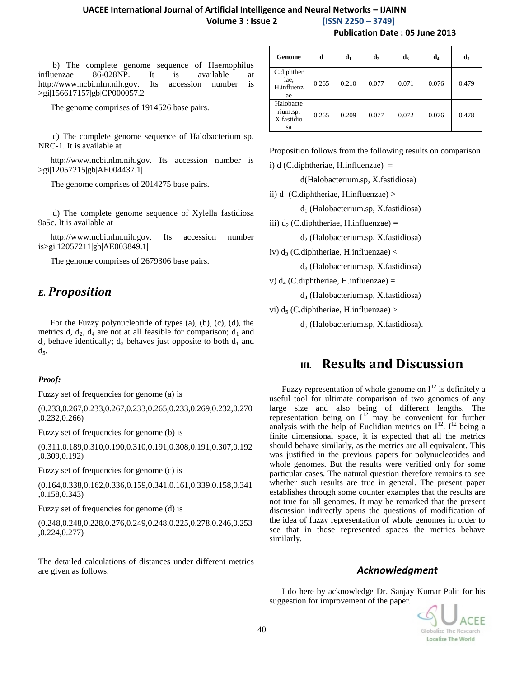b) The complete genome sequence of Haemophilus influenzae 86-028NP. It is available at http://www.ncbi.nlm.nih.gov. Its accession number is >gi|156617157|gb|CP000057.2|

The genome comprises of 1914526 base pairs.

c) The complete genome sequence of Halobacterium sp. NRC-1. It is available at

http://www.ncbi.nlm.nih.gov. Its accession number is >gi|12057215|gb|AE004437.1|

The genome comprises of 2014275 base pairs.

d) The complete genome sequence of Xylella fastidiosa 9a5c. It is available at

http://www.ncbi.nlm.nih.gov. Its accession number is>gi|12057211|gb|AE003849.1|

The genome comprises of 2679306 base pairs.

#### *E. Proposition*

For the Fuzzy polynucleotide of types (a), (b), (c), (d), the metrics d,  $d_2$ ,  $d_4$  are not at all feasible for comparison;  $d_1$  and  $d_5$  behave identically;  $d_3$  behaves just opposite to both  $d_1$  and  $d<sub>5</sub>$ .

#### *Proof:*

Fuzzy set of frequencies for genome (a) is

(0.233,0.267,0.233,0.267,0.233,0.265,0.233,0.269,0.232,0.270 ,0.232,0.266)

Fuzzy set of frequencies for genome (b) is

(0.311,0.189,0.310,0.190,0.310,0.191,0.308,0.191,0.307,0.192 ,0.309,0.192)

Fuzzy set of frequencies for genome (c) is

(0.164,0.338,0.162,0.336,0.159,0.341,0.161,0.339,0.158,0.341 ,0.158,0.343)

Fuzzy set of frequencies for genome (d) is

(0.248,0.248,0.228,0.276,0.249,0.248,0.225,0.278,0.246,0.253 ,0.224,0.277)

The detailed calculations of distances under different metrics are given as follows:

| Genome                                    | d     | $\mathbf{d}_1$ | $\mathbf{d}_2$ | $d_3$ | d,    | d,    |
|-------------------------------------------|-------|----------------|----------------|-------|-------|-------|
| C.diphther<br>iae,<br>H.influenz<br>ae    | 0.265 | 0.210          | 0.077          | 0.071 | 0.076 | 0.479 |
| Halobacte<br>rium.sp,<br>X.fastidio<br>sa | 0.265 | 0.209          | 0.077          | 0.072 | 0.076 | 0.478 |

Proposition follows from the following results on comparison

i) d (C.diphtheriae, H.influenzae)  $=$ 

d(Halobacterium.sp, X.fastidiosa)

ii)  $d_1$  (C.diphtheriae, H.influenzae) >

 $d_1$  (Halobacterium.sp, X.fastidiosa)

iii)  $d_2$  (C.diphtheriae, H.influenzae) =

 $d_2$  (Halobacterium.sp, X.fastidiosa)

iv)  $d_3$  (C.diphtheriae, H.influenzae) <

d<sup>3</sup> (Halobacterium.sp, X.fastidiosa)

v)  $d_4$  (C.diphtheriae, H.influenzae) =

d<sup>4</sup> (Halobacterium.sp, X.fastidiosa)

vi)  $d_5$  (C.diphtheriae, H.influenzae) >

 $d_5$  (Halobacterium.sp, X.fastidiosa).

### **III. Results and Discussion**

Fuzzy representation of whole genome on  $I<sup>12</sup>$  is definitely a useful tool for ultimate comparison of two genomes of any large size and also being of different lengths. The representation being on  $I^{12}$  may be convenient for further analysis with the help of Euclidian metrics on  $I^{12}$ .  $I^{12}$  being a finite dimensional space, it is expected that all the metrics should behave similarly, as the metrics are all equivalent. This was justified in the previous papers for polynucleotides and whole genomes. But the results were verified only for some particular cases. The natural question therefore remains to see whether such results are true in general. The present paper establishes through some counter examples that the results are not true for all genomes. It may be remarked that the present discussion indirectly opens the questions of modification of the idea of fuzzy representation of whole genomes in order to see that in those represented spaces the metrics behave similarly.

#### *Acknowledgment*

I do here by acknowledge Dr. Sanjay Kumar Palit for his suggestion for improvement of the paper.